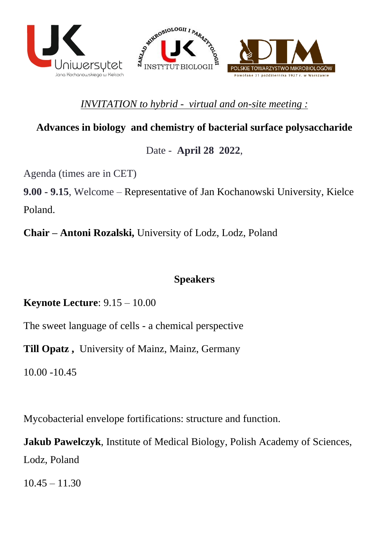

## *INVITATION to hybrid - virtual and on-site meeting :*

# **Advances in biology and chemistry of bacterial surface polysaccharide**

## Date - **April 28 2022**,

Agenda (times are in CET)

**9.00 - 9.15**, Welcome – Representative of Jan Kochanowski University, Kielce Poland.

**Chair – Antoni Rozalski,** University of Lodz, Lodz, Poland

## **Speakers**

**Keynote Lecture**: 9.15 – 10.00

The sweet language of cells - a chemical perspective

**Till Opatz ,** University of Mainz, Mainz, Germany

10.00 -10.45

Mycobacterial envelope fortifications: structure and function.

**Jakub Pawelczyk**, Institute of Medical Biology, Polish Academy of Sciences, Lodz, Poland

 $10.45 - 11.30$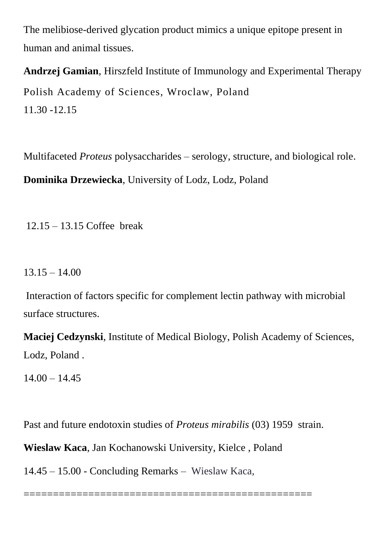The melibiose-derived glycation product mimics a unique epitope present in human and animal tissues.

**Andrzej Gamian**, [Hirszfeld Institute of Immunology and Experimental Therapy](https://hirszfeld.pl/) Polish Academy of Sciences, Wroclaw, Poland 11.30 -12.15

Multifaceted *Proteus* polysaccharides – serology, structure, and biological role. **Dominika Drzewiecka**, University of Lodz, Lodz, Poland

12.15 – 13.15 Coffee break

 $13.15 - 14.00$ 

Interaction of factors specific for complement lectin pathway with microbial surface structures.

**Maciej Cedzynski**, Institute of Medical Biology, Polish Academy of Sciences, Lodz, Poland .

 $14.00 - 14.45$ 

Past and future endotoxin studies of *Proteus mirabilis* (03) 1959 strain.

**Wieslaw Kaca**, Jan Kochanowski University, Kielce , Poland

14.45 – 15.00 - Concluding Remarks – Wieslaw Kaca,

=================================================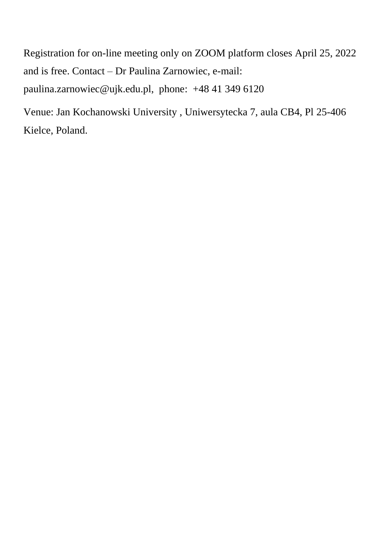Registration for on-line meeting only on ZOOM platform closes April 25, 2022 and is free. Contact – Dr Paulina Zarnowiec, e-mail: [paulina.zarnowiec@ujk.edu.pl, phone:](mailto:paulina.zarnowiec@ujk.edu.pl,%20%20phone) +48 41 349 6120

Venue: Jan Kochanowski University , Uniwersytecka 7, aula CB4, Pl 25-406 Kielce, Poland.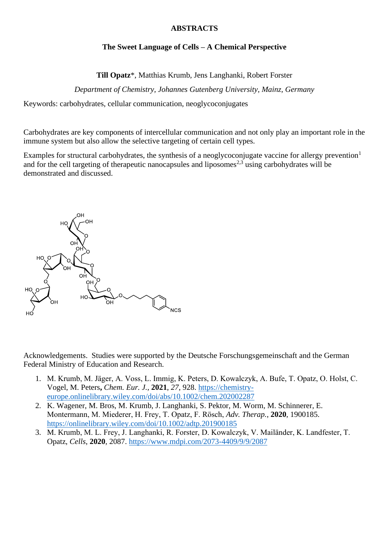### **ABSTRACTS**

### **The Sweet Language of Cells – A Chemical Perspective**

**Till Opatz**\*, Matthias Krumb, Jens Langhanki, Robert Forster

*Department of Chemistry, Johannes Gutenberg University, Mainz, Germany* 

Keywords: carbohydrates, cellular communication, neoglycoconjugates

Carbohydrates are key components of intercellular communication and not only play an important role in the immune system but also allow the selective targeting of certain cell types.

Examples for structural carbohydrates, the synthesis of a neoglycoconjugate vaccine for allergy prevention<sup>1</sup> and for the cell targeting of therapeutic nanocapsules and liposomes<sup>2,3</sup> using carbohydrates will be demonstrated and discussed.



Acknowledgements. Studies were supported by the Deutsche Forschungsgemeinschaft and the German Federal Ministry of Education and Research.

- 1. M. Krumb, M. Jäger, A. Voss, L. Immig, K. Peters, D. Kowalczyk, A. Bufe, T. Opatz, O. Holst, C. Vogel, M. Peters**,** *Chem. Eur. J.,* **2021**, *27*, 928. [https://chemistry](https://chemistry-europe.onlinelibrary.wiley.com/doi/abs/10.1002/chem.202002287)[europe.onlinelibrary.wiley.com/doi/abs/10.1002/chem.202002287](https://chemistry-europe.onlinelibrary.wiley.com/doi/abs/10.1002/chem.202002287)
- 2. K. Wagener, M. Bros, M. Krumb, J. Langhanki, S. Pektor, M. Worm, M. Schinnerer, E. Montermann, M. Miederer, H. Frey, T. Opatz, F. Rösch, *Adv. Therap.*, **2020**, 1900185. <https://onlinelibrary.wiley.com/doi/10.1002/adtp.201900185>
- 3. M. Krumb, M. L. Frey, J. Langhanki, R. Forster, D. Kowalczyk, V. Mailänder, K. Landfester, T. Opatz, *Cells*, **2020**, 2087. <https://www.mdpi.com/2073-4409/9/9/2087>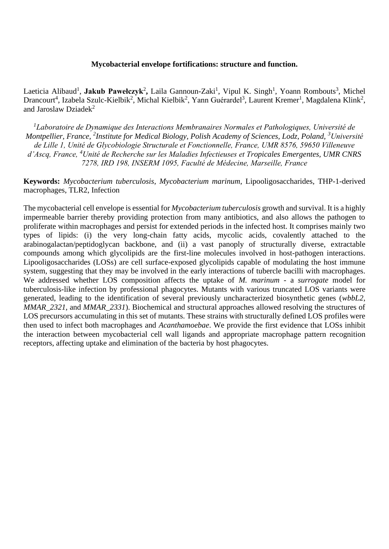#### **Mycobacterial envelope fortifications: structure and function.**

Laeticia Alibaud<sup>1</sup>, **Jakub Pawełczyk<sup>2</sup>,** Laila Gannoun-Zaki<sup>1</sup>, Vipul K. Singh<sup>1</sup>, Yoann Rombouts<sup>3</sup>, Michel Drancourt<sup>4</sup>, Izabela Szulc-Kielbik<sup>2</sup>, Michal Kielbik<sup>2</sup>, Yann Guérardel<sup>3</sup>, Laurent Kremer<sup>1</sup>, Magdalena Klink<sup>2</sup>, and Jaroslaw Dziadek $^2$ 

*<sup>1</sup>Laboratoire de Dynamique des Interactions Membranaires Normales et Pathologiques, Université de Montpellier, France, <sup>2</sup> Institute for Medical Biology, Polish Academy of Sciences, Lodz, Poland, <sup>3</sup>Université de Lille 1, Unité de Glycobiologie Structurale et Fonctionnelle, France, UMR 8576, 59650 Villeneuve d'Ascq, France, <sup>4</sup>Unité de Recherche sur les Maladies Infectieuses et Tropicales Emergentes, UMR CNRS 7278, IRD 198, INSERM 1095, Faculté de Médecine, Marseille, France*

**Keywords:** *Mycobacterium tuberculosis*, *Mycobacterium marinum*, Lipooligosaccharides, THP-1-derived macrophages, TLR2, Infection

The mycobacterial cell envelope is essential for *Mycobacterium tuberculosis* growth and survival. It is a highly impermeable barrier thereby providing protection from many antibiotics, and also allows the pathogen to proliferate within macrophages and persist for extended periods in the infected host. It comprises mainly two types of lipids: (i) the very long-chain fatty acids, mycolic acids, covalently attached to the arabinogalactan/peptidoglycan backbone, and (ii) a vast panoply of structurally diverse, extractable compounds among which glycolipids are the first-line molecules involved in host-pathogen interactions. Lipooligosaccharides (LOSs) are cell surface-exposed glycolipids capable of modulating the host immune system, suggesting that they may be involved in the early interactions of tubercle bacilli with macrophages. We addressed whether LOS composition affects the uptake of *M. marinum* - a *surrogate* model for tuberculosis-like infection by professional phagocytes. Mutants with various truncated LOS variants were generated, leading to the identification of several previously uncharacterized biosynthetic genes (*wbbL2*, *MMAR*\_*2321*, and *MMAR*\_*2331*). Biochemical and structural approaches allowed resolving the structures of LOS precursors accumulating in this set of mutants. These strains with structurally defined LOS profiles were then used to infect both macrophages and *Acanthamoebae*. We provide the first evidence that LOSs inhibit the interaction between mycobacterial cell wall ligands and appropriate macrophage pattern recognition receptors, affecting uptake and elimination of the bacteria by host phagocytes.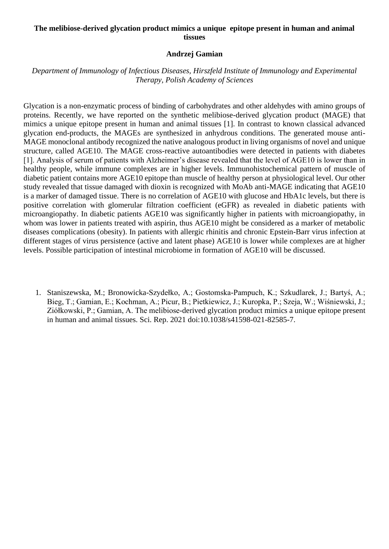### **The melibiose-derived glycation product mimics a unique epitope present in human and animal tissues**

#### **Andrzej Gamian**

## *Department of Immunology of Infectious Diseases, Hirszfeld Institute of Immunology and Experimental Therapy, Polish Academy of Sciences*

Glycation is a non-enzymatic process of binding of carbohydrates and other aldehydes with amino groups of proteins. Recently, we have reported on the synthetic melibiose-derived glycation product (MAGE) that mimics a unique epitope present in human and animal tissues [1]. In contrast to known classical advanced glycation end-products, the MAGEs are synthesized in anhydrous conditions. The generated mouse anti-MAGE monoclonal antibody recognized the native analogous product in living organisms of novel and unique structure, called AGE10. The MAGE cross-reactive autoantibodies were detected in patients with diabetes [1]. Analysis of serum of patients with Alzheimer's disease revealed that the level of AGE10 is lower than in healthy people, while immune complexes are in higher levels. Immunohistochemical pattern of muscle of diabetic patient contains more AGE10 epitope than muscle of healthy person at physiological level. Our other study revealed that tissue damaged with dioxin is recognized with MoAb anti-MAGE indicating that AGE10 is a marker of damaged tissue. There is no correlation of AGE10 with glucose and HbA1c levels, but there is positive correlation with glomerular filtration coefficient (eGFR) as revealed in diabetic patients with microangiopathy. In diabetic patients AGE10 was significantly higher in patients with microangiopathy, in whom was lower in patients treated with aspirin, thus AGE10 might be considered as a marker of metabolic diseases complications (obesity). In patients with allergic rhinitis and chronic Epstein-Barr virus infection at different stages of virus persistence (active and latent phase) AGE10 is lower while complexes are at higher levels. Possible participation of intestinal microbiome in formation of AGE10 will be discussed.

1. Staniszewska, M.; Bronowicka-Szydełko, A.; Gostomska-Pampuch, K.; Szkudlarek, J.; Bartyś, A.; Bieg, T.; Gamian, E.; Kochman, A.; Picur, B.; Pietkiewicz, J.; Kuropka, P.; Szeja, W.; Wiśniewski, J.; Ziółkowski, P.; Gamian, A. The melibiose-derived glycation product mimics a unique epitope present in human and animal tissues. Sci. Rep. 2021 doi:10.1038/s41598-021-82585-7.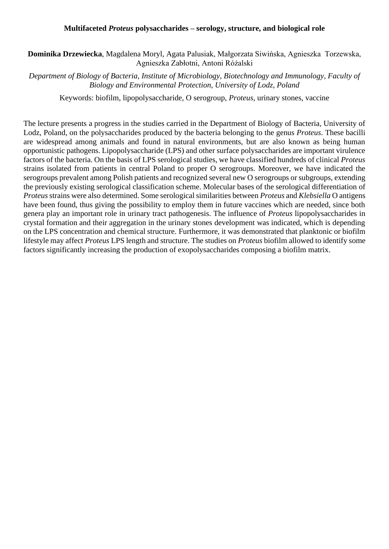#### **Multifaceted** *Proteus* **polysaccharides – serology, structure, and biological role**

**Dominika Drzewiecka**, Magdalena Moryl, Agata Palusiak, Małgorzata Siwińska, Agnieszka Torzewska, Agnieszka Zabłotni, Antoni Różalski

*Department of Biology of Bacteria, Institute of Microbiology, Biotechnology and Immunology, Faculty of Biology and Environmental Protection, University of Lodz, Poland*

Keywords: biofilm, lipopolysaccharide, O serogroup, *Proteus*, urinary stones, vaccine

The lecture presents a progress in the studies carried in the Department of Biology of Bacteria, University of Lodz, Poland, on the polysaccharides produced by the bacteria belonging to the genus *Proteus*. These bacilli are widespread among animals and found in natural environments, but are also known as being human opportunistic pathogens. Lipopolysaccharide (LPS) and other surface polysaccharides are important virulence factors of the bacteria. On the basis of LPS serological studies, we have classified hundreds of clinical *Proteus* strains isolated from patients in central Poland to proper O serogroups. Moreover, we have indicated the serogroups prevalent among Polish patients and recognized several new O serogroups or subgroups, extending the previously existing serological classification scheme. Molecular bases of the serological differentiation of *Proteus*strains were also determined. Some serological similarities between *Proteus* and *Klebsiella* O antigens have been found, thus giving the possibility to employ them in future vaccines which are needed, since both genera play an important role in urinary tract pathogenesis. The influence of *Proteus* lipopolysaccharides in crystal formation and their aggregation in the urinary stones development was indicated, which is depending on the LPS concentration and chemical structure. Furthermore, it was demonstrated that planktonic or biofilm lifestyle may affect *Proteus* LPS length and structure. The studies on *Proteus* biofilm allowed to identify some factors significantly increasing the production of exopolysaccharides composing a biofilm matrix.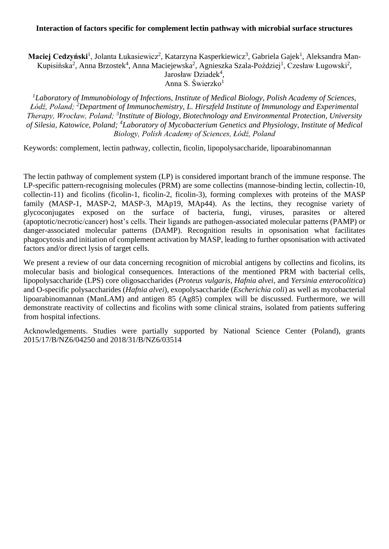#### **Interaction of factors specific for complement lectin pathway with microbial surface structures**

**Maciej Cedzyński**<sup>1</sup>, Jolanta Łukasiewicz<sup>2</sup>, Katarzyna Kasperkiewicz<sup>3</sup>, Gabriela Gajek<sup>1</sup>, Aleksandra Man-Kupisińska<sup>2</sup>, Anna Brzostek<sup>4</sup>, Anna Maciejewska<sup>2</sup>, Agnieszka Szala-Poździej<sup>1</sup>, Czesław Ługowski<sup>2</sup>,

Jarosław Dziadek<sup>4</sup>,

Anna S. Świerzko<sup>1</sup>

*<sup>1</sup>Laboratory of Immunobiology of Infections, Institute of Medical Biology, Polish Academy of Sciences, Łódź, Poland; <sup>2</sup>Department of Immunochemistry, L. Hirszfeld Institute of Immunology and Experimental*  Therapy, Wrocław, Poland; <sup>3</sup>Institute of Biology, Biotechnology and Environmental Protection, University *of Silesia, Katowice, Poland; <sup>4</sup>Laboratory of Mycobacterium Genetics and Physiology, Institute of Medical Biology, Polish Academy of Sciences, Łódź, Poland*

Keywords: complement, lectin pathway, collectin, ficolin, lipopolysaccharide, lipoarabinomannan

The lectin pathway of complement system (LP) is considered important branch of the immune response. The LP-specific pattern-recognising molecules (PRM) are some collectins (mannose-binding lectin, collectin-10, collectin-11) and ficolins (ficolin-1, ficolin-2, ficolin-3), forming complexes with proteins of the MASP family (MASP-1, MASP-2, MASP-3, MAp19, MAp44). As the lectins, they recognise variety of glycoconjugates exposed on the surface of bacteria, fungi, viruses, parasites or altered (apoptotic/necrotic/cancer) host's cells. Their ligands are pathogen-associated molecular patterns (PAMP) or danger-associated molecular patterns (DAMP). Recognition results in opsonisation what facilitates phagocytosis and initiation of complement activation by MASP, leading to further opsonisation with activated factors and/or direct lysis of target cells.

We present a review of our data concerning recognition of microbial antigens by collectins and ficolins, its molecular basis and biological consequences. Interactions of the mentioned PRM with bacterial cells, lipopolysaccharide (LPS) core oligosaccharides (*Proteus vulgaris, Hafnia alvei,* and *Yersinia enterocolitica*) and O-specific polysaccharides (*Hafnia alvei*), exopolysaccharide (*Escherichia coli*) as well as mycobacterial lipoarabinomannan (ManLAM) and antigen 85 (Ag85) complex will be discussed. Furthermore, we will demonstrate reactivity of collectins and ficolins with some clinical strains, isolated from patients suffering from hospital infections.

Acknowledgements. Studies were partially supported by National Science Center (Poland), grants 2015/17/B/NZ6/04250 and 2018/31/B/NZ6/03514